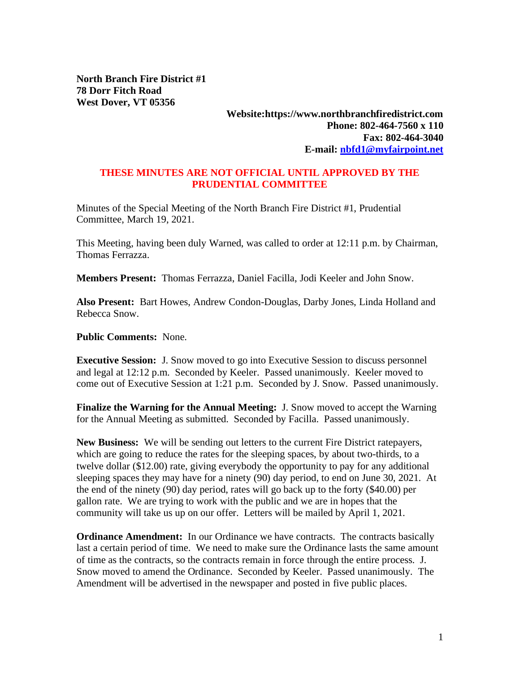**North Branch Fire District #1 78 Dorr Fitch Road West Dover, VT 05356**

## **Website:https://www.northbranchfiredistrict.com Phone: 802-464-7560 x 110 Fax: 802-464-3040 E-mail: [nbfd1@myfairpoint.net](mailto:nbfd1@myfairpoint.net)**

## **THESE MINUTES ARE NOT OFFICIAL UNTIL APPROVED BY THE PRUDENTIAL COMMITTEE**

Minutes of the Special Meeting of the North Branch Fire District #1, Prudential Committee, March 19, 2021.

This Meeting, having been duly Warned, was called to order at 12:11 p.m. by Chairman, Thomas Ferrazza.

**Members Present:** Thomas Ferrazza, Daniel Facilla, Jodi Keeler and John Snow.

**Also Present:** Bart Howes, Andrew Condon-Douglas, Darby Jones, Linda Holland and Rebecca Snow.

**Public Comments:** None.

**Executive Session:** J. Snow moved to go into Executive Session to discuss personnel and legal at 12:12 p.m. Seconded by Keeler. Passed unanimously. Keeler moved to come out of Executive Session at 1:21 p.m. Seconded by J. Snow. Passed unanimously.

**Finalize the Warning for the Annual Meeting:** J. Snow moved to accept the Warning for the Annual Meeting as submitted. Seconded by Facilla. Passed unanimously.

**New Business:** We will be sending out letters to the current Fire District ratepayers, which are going to reduce the rates for the sleeping spaces, by about two-thirds, to a twelve dollar (\$12.00) rate, giving everybody the opportunity to pay for any additional sleeping spaces they may have for a ninety (90) day period, to end on June 30, 2021. At the end of the ninety (90) day period, rates will go back up to the forty (\$40.00) per gallon rate. We are trying to work with the public and we are in hopes that the community will take us up on our offer. Letters will be mailed by April 1, 2021.

**Ordinance Amendment:** In our Ordinance we have contracts. The contracts basically last a certain period of time. We need to make sure the Ordinance lasts the same amount of time as the contracts, so the contracts remain in force through the entire process. J. Snow moved to amend the Ordinance. Seconded by Keeler. Passed unanimously. The Amendment will be advertised in the newspaper and posted in five public places.